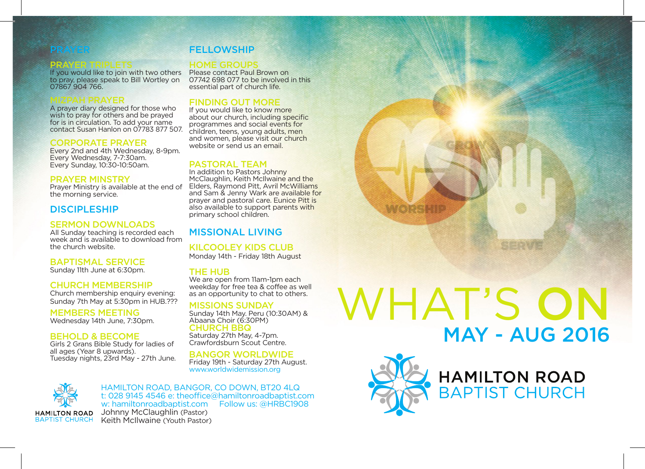**PRAYER TRIPLETS**<br>If you would like to join with two others to pray, please speak to Bill Wortley on 07867 904 766.

**MIZPAH PRAYER**<br>A prayer diary designed for those who wish to pray for others and be prayed for is in circulation. To add your name contact Susan Hanlon on 07783 877 507.

## CORPORATE PRAYER

Every 2nd and 4th Wednesday, 8-9pm. Every Wednesday, 7-7:30am. Every Sunday, 10:30-10:50am.

## PRAYER MINSTRY

Prayer Ministry is available at the end of the morning service.

# DISCIPI ESHIP

# SERMON DOWNLOADS

All Sunday teaching is recorded each week and is available to download from the church website.

## BAPTISMAL SERVICE

Sunday 11th June at 6:30pm.

# CHURCH MEMBERSHIP

Church membership enquiry evening: Sunday 7th May at 5:30pm in HUB.???

MEMBERS MEETING Wednesday 14th June, 7:30pm.

## BEHOLD & BECOME

Girls 2 Grans Bible Study for ladies of all ages (Year 8 upwards). Tuesday nights, 23rd May - 27th June.

# **FELLOWSHIP**

Please contact Paul Brown on 07742 698 077 to be involved in this essential part of church life.

# FINDING OUT MORE

If you would like to know more about our church, including specific programmes and social events for children, teens, young adults, men and women, please visit our church website or send us an email

## PASTORAL TEAM

In addition to Pastors Johnny McClaughlin, Keith McIlwaine and the Elders, Raymond Pitt, Avril McWilliams and Sam & Jenny Wark are available for prayer and pastoral care. Eunice Pitt is also available to support parents with primary school children.

# MISSIONAL LIVING

KILCOOLEY KIDS CLUB Monday 14th - Friday 18th August

### THE HUB

We are open from 11am-1pm each weekday for free tea & coffee as well as an opportunity to chat to others.

## MISSIONS SUNDAY

Sunday 14th May. Peru (10:30AM) & Abaana Choir (6:30PM) CHURCH BBQ

Saturday 27th May, 4-7pm. Crawfordsburn Scout Centre.

BANGOR WORLDWIDE

Friday 19th - Saturday 27th August. www.worldwidemission.org



## HAMILTON ROAD, BANGOR, CO DOWN, BT20 4LQ t: 028 9145 4546 e: theoffice@hamiltonroadbaptist.com w: hamiltonroadbaptist.com Follow us: @HRBC1908

Johnny McClaughlin (Pastor) Keith McIlwaine (Youth Pastor) WHAT'S ON MAY - AUG 2016